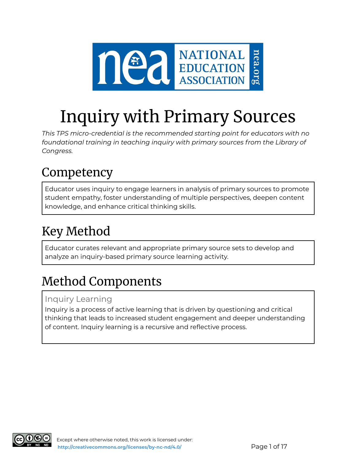

# Inquiry with Primary Sources

*This TPS micro-credential is the recommended starting point for educators with no foundational training in teaching inquiry with primary sources from the Library of Congress.*

# Competency

Educator uses inquiry to engage learners in analysis of primary sources to promote student empathy, foster understanding of multiple perspectives, deepen content knowledge, and enhance critical thinking skills.

# Key Method

Educator curates relevant and appropriate primary source sets to develop and analyze an inquiry-based primary source learning activity.

# Method Components

## Inquiry Learning

Inquiry is a process of active learning that is driven by questioning and critical thinking that leads to increased student engagement and deeper understanding of content. Inquiry learning is a recursive and reflective process.

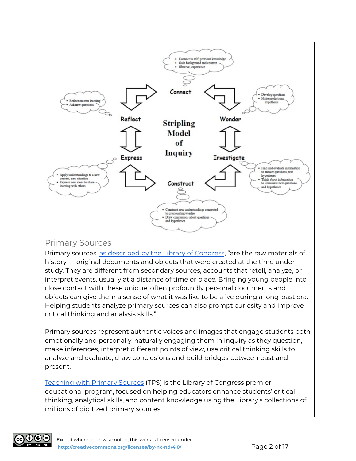

### Primary Sources

Primary sources, as [described](https://www.loc.gov/programs/teachers/getting-started-with-primary-sources/) by the Library of Congress, "are the raw materials of history — original documents and objects that were created at the time under study. They are different from secondary sources, accounts that retell, analyze, or interpret events, usually at a distance of time or place. Bringing young people into close contact with these unique, often profoundly personal documents and objects can give them a sense of what it was like to be alive during a long-past era. Helping students analyze primary sources can also prompt curiosity and improve critical thinking and analysis skills."

Primary sources represent authentic voices and images that engage students both emotionally and personally, naturally engaging them in inquiry as they question, make inferences, interpret different points of view, use critical thinking skills to analyze and evaluate, draw conclusions and build bridges between past and present.

[Teaching](https://www.loc.gov/programs/teachers/about-this-program/teaching-with-primary-sources-partner-program/) with Primary Sources (TPS) is the Library of Congress premier educational program, focused on helping educators enhance students' critical thinking, analytical skills, and content knowledge using the Library's collections of millions of digitized primary sources.

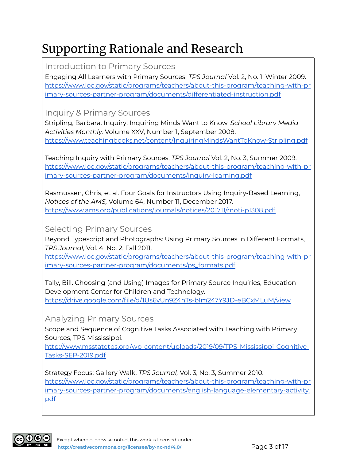# Supporting Rationale and Research

Introduction to Primary Sources

Engaging All Learners with Primary Sources, *TPS Journal* Vol. 2, No. 1, Winter 2009. [https://www.loc.gov/static/programs/teachers/about-this-program/teaching-with-pr](https://www.loc.gov/static/programs/teachers/about-this-program/teaching-with-primary-sources-partner-program/documents/differentiated-instruction.pdf) [imary-sources-partner-program/documents/differentiated-instruction.pdf](https://www.loc.gov/static/programs/teachers/about-this-program/teaching-with-primary-sources-partner-program/documents/differentiated-instruction.pdf)

Inquiry & Primary Sources

Stripling, Barbara. Inquiry: Inquiring Minds Want to Know, *School Library Media Activities Monthly,* Volume XXV, Number 1, September 2008. <https://www.teachingbooks.net/content/InquiringMindsWantToKnow-Stripling.pdf>

Teaching Inquiry with Primary Sources, *TPS Journal* Vol. 2, No. 3, Summer 2009. [https://www.loc.gov/static/programs/teachers/about-this-program/teaching-with-pr](https://www.loc.gov/static/programs/teachers/about-this-program/teaching-with-primary-sources-partner-program/documents/inquiry-learning.pdf) [imary-sources-partner-program/documents/inquiry-learning.pdf](https://www.loc.gov/static/programs/teachers/about-this-program/teaching-with-primary-sources-partner-program/documents/inquiry-learning.pdf)

Rasmussen, Chris, et al. Four Goals for Instructors Using Inquiry-Based Learning, *Notices of the AMS,* Volume 64, Number 11, December 2017. <https://www.ams.org/publications/journals/notices/201711/rnoti-p1308.pdf>

Selecting Primary Sources

Beyond Typescript and Photographs: Using Primary Sources in Different Formats, *TPS Journal,* Vol. 4, No. 2, Fall 2011.

[https://www.loc.gov/static/programs/teachers/about-this-program/teaching-with-pr](https://www.loc.gov/static/programs/teachers/about-this-program/teaching-with-primary-sources-partner-program/documents/ps_formats.pdf) [imary-sources-partner-program/documents/ps\\_formats.pdf](https://www.loc.gov/static/programs/teachers/about-this-program/teaching-with-primary-sources-partner-program/documents/ps_formats.pdf)

Tally, Bill. Choosing (and Using) Images for Primary Source Inquiries, Education Development Center for Children and Technology. <https://drive.google.com/file/d/1Us6yUn9Z4nTs-bIm247Y9JD-eBCxMLuM/view>

Analyzing Primary Sources

Scope and Sequence of Cognitive Tasks Associated with Teaching with Primary Sources, TPS Mississippi.

[http://www.msstatetps.org/wp-content/uploads/2019/09/TPS-Mississippi-Cognitive-](http://www.msstatetps.org/wp-content/uploads/2019/09/TPS-Mississippi-Cognitive-Tasks-SEP-2019.pdf)[Tasks-SEP-2019.pdf](http://www.msstatetps.org/wp-content/uploads/2019/09/TPS-Mississippi-Cognitive-Tasks-SEP-2019.pdf)

Strategy Focus: Gallery Walk, *TPS Journal,* Vol. 3, No. 3, Summer 2010. [https://www.loc.gov/static/programs/teachers/about-this-program/teaching-with-pr](https://www.loc.gov/static/programs/teachers/about-this-program/teaching-with-primary-sources-partner-program/documents/english-language-elementary-activity.pdf) [imary-sources-partner-program/documents/english-language-elementary-activity.](https://www.loc.gov/static/programs/teachers/about-this-program/teaching-with-primary-sources-partner-program/documents/english-language-elementary-activity.pdf) [pdf](https://www.loc.gov/static/programs/teachers/about-this-program/teaching-with-primary-sources-partner-program/documents/english-language-elementary-activity.pdf)

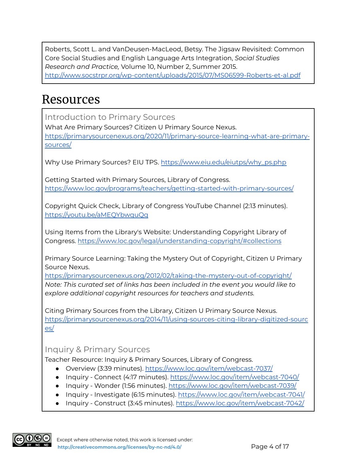Roberts, Scott L. and VanDeusen-MacLeod, Betsy. The Jigsaw Revisited: Common Core Social Studies and English Language Arts Integration, *Social Studies Research and Practice,* Volume 10, Number 2, Summer 2015. <http://www.socstrpr.org/wp-content/uploads/2015/07/MS06599-Roberts-et-al.pdf>

# Resources

Introduction to Primary Sources

What Are Primary Sources? Citizen U Primary Source Nexus. [https://primarysourcenexus.org/2020/11/primary-source-learning-what-are-primary](https://primarysourcenexus.org/2020/11/primary-source-learning-what-are-primary-sources/)[sources/](https://primarysourcenexus.org/2020/11/primary-source-learning-what-are-primary-sources/)

Why Use Primary Sources? EIU TPS. [https://www.eiu.edu/eiutps/why\\_ps.php](https://www.eiu.edu/eiutps/why_ps.php)

Getting Started with Primary Sources, Library of Congress. <https://www.loc.gov/programs/teachers/getting-started-with-primary-sources/>

Copyright Quick Check, Library of Congress YouTube Channel (2:13 minutes). <https://youtu.be/aMEQYbwquQg>

Using Items from the Library's Website: Understanding Copyright Library of Congress. <https://www.loc.gov/legal/understanding-copyright/#collections>

Primary Source Learning: Taking the Mystery Out of Copyright, Citizen U Primary Source Nexus.

<https://primarysourcenexus.org/2012/02/taking-the-mystery-out-of-copyright/> *Note: This curated set of links has been included in the event you would like to explore additional copyright resources for teachers and students.*

Citing Primary Sources from the Library, Citizen U Primary Source Nexus. [https://primarysourcenexus.org/2014/11/using-sources-citing-library-digitized-sourc](https://primarysourcenexus.org/2014/11/using-sources-citing-library-digitized-sources/) [es/](https://primarysourcenexus.org/2014/11/using-sources-citing-library-digitized-sources/)

### Inquiry & Primary Sources

Teacher Resource: Inquiry & Primary Sources, Library of Congress.

- Overview (3:39 minutes). <https://www.loc.gov/item/webcast-7037/>
- Inquiry Connect (4:17 minutes). <https://www.loc.gov/item/webcast-7040/>
- Inquiry Wonder (1:56 minutes). <https://www.loc.gov/item/webcast-7039/>
- Inquiry Investigate (6:15 minutes). <https://www.loc.gov/item/webcast-7041/>
- Inquiry Construct (3:45 minutes). <https://www.loc.gov/item/webcast-7042/>

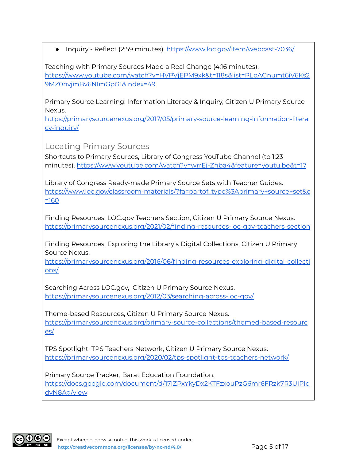● Inquiry - Reflect (2:59 minutes). <https://www.loc.gov/item/webcast-7036/>

Teaching with Primary Sources Made a Real Change (4:16 minutes). [https://www.youtube.com/watch?v=HVPVjEPM9xk&t=118s&list=PLpAGnumt6iV6Ks2](https://www.youtube.com/watch?v=HVPVjEPM9xk&t=118s&list=PLpAGnumt6iV6Ks29MZ0nvjmBv6NImGpG1&index=49) [9MZ0nvjmBv6NImGpG1&index=49](https://www.youtube.com/watch?v=HVPVjEPM9xk&t=118s&list=PLpAGnumt6iV6Ks29MZ0nvjmBv6NImGpG1&index=49)

Primary Source Learning: Information Literacy & Inquiry, Citizen U Primary Source Nexus.

[https://primarysourcenexus.org/2017/05/primary-source-learning-information-litera](https://primarysourcenexus.org/2017/05/primary-source-learning-information-literacy-inquiry/) [cy-inquiry/](https://primarysourcenexus.org/2017/05/primary-source-learning-information-literacy-inquiry/)

Locating Primary Sources

Shortcuts to Primary Sources, Library of Congress YouTube Channel (to 1:23 minutes). <https://www.youtube.com/watch?v=wrrEj-Zhba4&feature=youtu.be&t=17>

Library of Congress Ready-made Primary Source Sets with Teacher Guides. [https://www.loc.gov/classroom-materials/?fa=partof\\_type%3Aprimary+source+set&c](https://www.loc.gov/classroom-materials/?fa=partof_type%3Aprimary+source+set&c=160) [=160](https://www.loc.gov/classroom-materials/?fa=partof_type%3Aprimary+source+set&c=160)

Finding Resources: LOC.gov Teachers Section, Citizen U Primary Source Nexus. [https://primarysourcenexus.org/2021/02/finding-resources-loc-gov-teachers-section](https://primarysourcenexus.org/2021/02/finding-resources-loc-gov-teachers-section/)

Finding Resources: Exploring the Library's Digital Collections, Citizen U Primary Source Nexus.

[https://primarysourcenexus.org/2016/06/finding-resources-exploring-digital-collecti](https://primarysourcenexus.org/2016/06/finding-resources-exploring-digital-collections/) [ons/](https://primarysourcenexus.org/2016/06/finding-resources-exploring-digital-collections/)

Searching Across LOC.gov, Citizen U Primary Source Nexus. <https://primarysourcenexus.org/2012/03/searching-across-loc-gov/>

Theme-based Resources, Citizen U Primary Source Nexus. [https://primarysourcenexus.org/primary-source-collections/themed-based-resourc](https://primarysourcenexus.org/primary-source-collections/themed-based-resources/) [es/](https://primarysourcenexus.org/primary-source-collections/themed-based-resources/)

TPS Spotlight: TPS Teachers Network, Citizen U Primary Source Nexus. <https://primarysourcenexus.org/2020/02/tps-spotlight-tps-teachers-network/>

Primary Source Tracker, Barat Education Foundation. [https://docs.google.com/document/d/17lZPxYkyDx2KTFzxouPzG6mr6FRzk7R3UIPIq](https://docs.google.com/document/d/17lZPxYkyDx2KTFzxouPzG6mr6FRzk7R3UIPIqdvN8Ag/view) [dvN8Ag/view](https://docs.google.com/document/d/17lZPxYkyDx2KTFzxouPzG6mr6FRzk7R3UIPIqdvN8Ag/view)

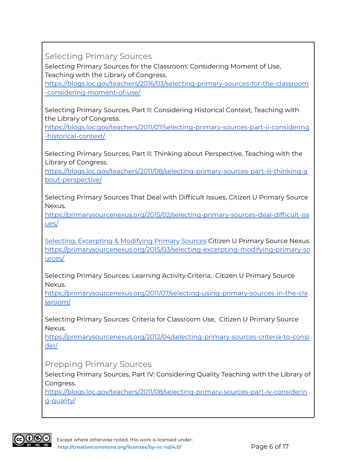Selecting Primary Sources

Selecting Primary Sources for the Classroom: Considering Moment of Use, Teaching with the Library of Congress.

[https://blogs.loc.gov/teachers/2016/03/selecting-primary-sources-for-the-classroom](https://blogs.loc.gov/teachers/2016/03/selecting-primary-sources-for-the-classroom-considering-moment-of-use/) [-considering-moment-of-use/](https://blogs.loc.gov/teachers/2016/03/selecting-primary-sources-for-the-classroom-considering-moment-of-use/)

Selecting Primary Sources, Part II: Considering Historical Context, Teaching with the Library of Congress.

[https://blogs.loc.gov/teachers/2011/07/selecting-primary-sources-part-ii-considering](https://blogs.loc.gov/teachers/2011/07/selecting-primary-sources-part-ii-considering-historical-context/) [-historical-context/](https://blogs.loc.gov/teachers/2011/07/selecting-primary-sources-part-ii-considering-historical-context/)

Selecting Primary Sources, Part II: Thinking about Perspective, Teaching with the Library of Congress.

[https://blogs.loc.gov/teachers/2011/08/selecting-primary-sources-part-iii-thinking-a](https://blogs.loc.gov/teachers/2011/08/selecting-primary-sources-part-iii-thinking-about-perspective/) [bout-perspective/](https://blogs.loc.gov/teachers/2011/08/selecting-primary-sources-part-iii-thinking-about-perspective/)

Selecting Primary Sources That Deal with Difficult Issues, Citizen U Primary Source Nexus.

[https://primarysourcenexus.org/2015/02/selecting-primary-sources-deal-difficult-iss](https://primarysourcenexus.org/2015/02/selecting-primary-sources-deal-difficult-issues/) [ues/](https://primarysourcenexus.org/2015/02/selecting-primary-sources-deal-difficult-issues/)

Selecting, [Excerpting](https://primarysourcenexus.org/2015/03/selecting-excerpting-modifying-primary-sources/) & Modifying Primary Sources Citizen U Primary Source Nexus. [https://primarysourcenexus.org/2015/03/selecting-excerpting-modifying-primary-so](https://primarysourcenexus.org/2015/03/selecting-excerpting-modifying-primary-sources/) [urces/](https://primarysourcenexus.org/2015/03/selecting-excerpting-modifying-primary-sources/)

Selecting Primary Sources: Learning Activity Criteria, Citizen U Primary Source Nexus.

[https://primarysourcenexus.org/2011/07/selecting-using-primary-sources-in-the-cla](https://primarysourcenexus.org/2011/07/selecting-using-primary-sources-in-the-classroom/) [ssroom/](https://primarysourcenexus.org/2011/07/selecting-using-primary-sources-in-the-classroom/)

Selecting Primary Sources: Criteria for Classroom Use, Citizen U Primary Source Nexus.

[https://primarysourcenexus.org/2012/04/selecting-primary-sources-criteria-to-consi](https://primarysourcenexus.org/2012/04/selecting-primary-sources-criteria-to-consider/) [der/](https://primarysourcenexus.org/2012/04/selecting-primary-sources-criteria-to-consider/)

Prepping Primary Sources

Selecting Primary Sources, Part IV: Considering Quality Teaching with the Library of Congress.

[https://blogs.loc.gov/teachers/2011/08/selecting-primary-sources-part-iv-considerin](https://blogs.loc.gov/teachers/2011/08/selecting-primary-sources-part-iv-considering-quality/) [g-quality/](https://blogs.loc.gov/teachers/2011/08/selecting-primary-sources-part-iv-considering-quality/)

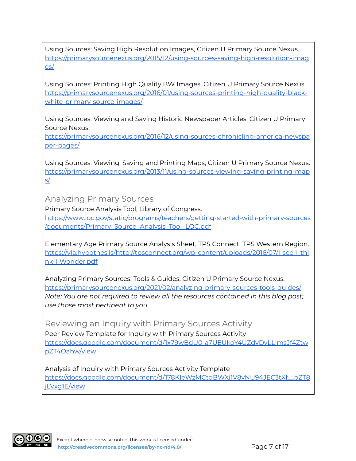Using Sources: Saving High Resolution Images, Citizen U Primary Source Nexus. [https://primarysourcenexus.org/2015/12/using-sources-saving-high-resolution-imag](https://primarysourcenexus.org/2015/12/using-sources-saving-high-resolution-images/) [es/](https://primarysourcenexus.org/2015/12/using-sources-saving-high-resolution-images/)

Using Sources: Printing High Quality BW Images, Citizen U Primary Source Nexus. [https://primarysourcenexus.org/2016/01/using-sources-printing-high-quality-black](https://primarysourcenexus.org/2016/01/using-sources-printing-high-quality-black-white-primary-source-images/)[white-primary-source-images/](https://primarysourcenexus.org/2016/01/using-sources-printing-high-quality-black-white-primary-source-images/)

Using Sources: Viewing and Saving Historic Newspaper Articles, Citizen U Primary Source Nexus.

[https://primarysourcenexus.org/2016/12/using-sources-chronicling-america-newspa](https://primarysourcenexus.org/2016/12/using-sources-chronicling-america-newspaper-pages/) [per-pages/](https://primarysourcenexus.org/2016/12/using-sources-chronicling-america-newspaper-pages/)

Using Sources: Viewing, Saving and Printing Maps, Citizen U Primary Source Nexus. [https://primarysourcenexus.org/2013/11/using-sources-viewing-saving-printing-map](https://primarysourcenexus.org/2013/11/using-sources-viewing-saving-printing-maps/) [s/](https://primarysourcenexus.org/2013/11/using-sources-viewing-saving-printing-maps/)

Analyzing Primary Sources

Primary Source Analysis Tool, Library of Congress. [https://www.loc.gov/static/programs/teachers/getting-started-with-primary-sources](https://www.loc.gov/static/programs/teachers/getting-started-with-primary-sources/documents/Primary_Source_Analysis_Tool_LOC.pdf) [/documents/Primary\\_Source\\_Analysis\\_Tool\\_LOC.pdf](https://www.loc.gov/static/programs/teachers/getting-started-with-primary-sources/documents/Primary_Source_Analysis_Tool_LOC.pdf)

Elementary Age Primary Source Analysis Sheet, TPS Connect, TPS Western Region. [https://via.hypothes.is/http://tpsconnect.org/wp-content/uploads/2016/07/I-see-I-thi](https://via.hypothes.is/http://tpsconnect.org/wp-content/uploads/2016/07/I-see-I-think-I-Wonder.pdf) [nk-I-Wonder.pdf](https://via.hypothes.is/http://tpsconnect.org/wp-content/uploads/2016/07/I-see-I-think-I-Wonder.pdf)

Analyzing Primary Sources: Tools & Guides, Citizen U Primary Source Nexus. <https://primarysourcenexus.org/2021/02/analyzing-primary-sources-tools-guides/> *Note: You are not required to review all the resources contained in this blog post; use those most pertinent to you.*

Reviewing an Inquiry with Primary Sources Activity Peer Review Template for Inquiry with Primary Sources Activity [https://docs.google.com/document/d/1x79wBdU0-a7UEUkoY4UZdvDvLLimsJf4Ztw](https://docs.google.com/document/d/1x79wBdU0-a7UEUkoY4UZdvDvLLimsJf4ZtwpZT4Oahw/view) [pZT4Oahw/view](https://docs.google.com/document/d/1x79wBdU0-a7UEUkoY4UZdvDvLLimsJf4ZtwpZT4Oahw/view)

Analysis of Inquiry with Primary Sources Activity Template [https://docs.google.com/document/d/178KIeWzMCtdBWXj1V8yNU94JEC3tXf\\_\\_bZT8](https://docs.google.com/document/d/178KIeWzMCtdBWXj1V8yNU94JEC3tXf__bZT8jLVxg1E/view) [jLVxg1E/view](https://docs.google.com/document/d/178KIeWzMCtdBWXj1V8yNU94JEC3tXf__bZT8jLVxg1E/view)

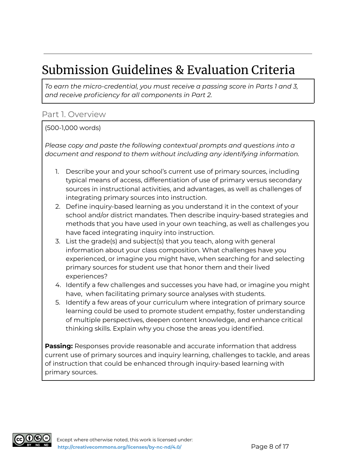# Submission Guidelines & Evaluation Criteria

*To earn the micro-credential, you must receive a passing score in Parts 1 and 3, and receive proficiency for all components in Part 2.*

#### Part 1. Overview

#### (500-1,000 words)

*Please copy and paste the following contextual prompts and questions into a document and respond to them without including any identifying information.*

- 1. Describe your and your school's current use of primary sources, including typical means of access, differentiation of use of primary versus secondary sources in instructional activities, and advantages, as well as challenges of integrating primary sources into instruction.
- 2. Define inquiry-based learning as you understand it in the context of your school and/or district mandates. Then describe inquiry-based strategies and methods that you have used in your own teaching, as well as challenges you have faced integrating inquiry into instruction.
- 3. List the grade(s) and subject(s) that you teach, along with general information about your class composition. What challenges have you experienced, or imagine you might have, when searching for and selecting primary sources for student use that honor them and their lived experiences?
- 4. Identify a few challenges and successes you have had, or imagine you might have, when facilitating primary source analyses with students.
- 5. Identify a few areas of your curriculum where integration of primary source learning could be used to promote student empathy, foster understanding of multiple perspectives, deepen content knowledge, and enhance critical thinking skills. Explain why you chose the areas you identified.

**Passing:** Responses provide reasonable and accurate information that address current use of primary sources and inquiry learning, challenges to tackle, and areas of instruction that could be enhanced through inquiry-based learning with primary sources.

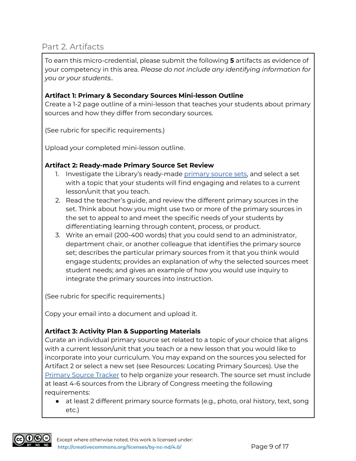### Part 2. Artifacts

To earn this micro-credential, please submit the following **5** artifacts as evidence of your competency in this area. *Please do not include any identifying information for you or your students..*

#### **Artifact 1: Primary & Secondary Sources Mini-lesson Outline**

Create a 1-2 page outline of a mini-lesson that teaches your students about primary sources and how they differ from secondary sources.

(See rubric for specific requirements.)

Upload your completed mini-lesson outline.

#### **Artifact 2: Ready-made Primary Source Set Review**

- 1. Investigate the Library's ready-made [primary](https://www.loc.gov/classroom-materials/?fa=partof_type%3Aprimary+source+set&c=160) source sets, and select a set with a topic that your students will find engaging and relates to a current lesson/unit that you teach.
- 2. Read the teacher's guide, and review the different primary sources in the set. Think about how you might use two or more of the primary sources in the set to appeal to and meet the specific needs of your students by differentiating learning through content, process, or product.
- 3. Write an email (200-400 words) that you could send to an administrator, department chair, or another colleague that identifies the primary source set; describes the particular primary sources from it that you think would engage students; provides an explanation of why the selected sources meet student needs; and gives an example of how you would use inquiry to integrate the primary sources into instruction.

(See rubric for specific requirements.)

Copy your email into a document and upload it.

#### **Artifact 3: Activity Plan & Supporting Materials**

Curate an individual primary source set related to a topic of your choice that aligns with a current lesson/unit that you teach or a new lesson that you would like to incorporate into your curriculum. You may expand on the sources you selected for Artifact 2 or select a new set (see Resources: Locating Primary Sources). Use the [Primary](https://docs.google.com/document/d/17lZPxYkyDx2KTFzxouPzG6mr6FRzk7R3UIPIqdvN8Ag/view) Source Tracker to help organize your research. The source set must include at least 4-6 sources from the Library of Congress meeting the following requirements:

● at least 2 different primary source formats (e.g., photo, oral history, text, song etc.)

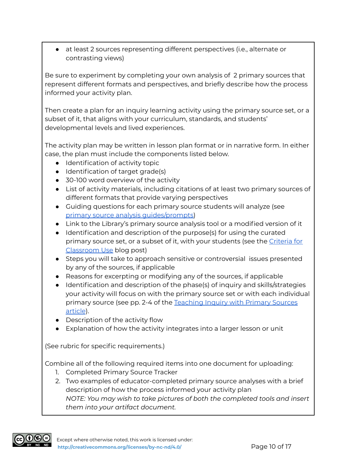● at least 2 sources representing different perspectives (i.e., alternate or contrasting views)

Be sure to experiment by completing your own analysis of 2 primary sources that represent different formats and perspectives, and briefly describe how the process informed your activity plan.

Then create a plan for an inquiry learning activity using the primary source set, or a subset of it, that aligns with your curriculum, standards, and students' developmental levels and lived experiences.

The activity plan may be written in lesson plan format or in narrative form. In either case, the plan must include the components listed below.

- Identification of activity topic
- Identification of target grade(s)
- 30-100 word overview of the activity
- List of activity materials, including citations of at least two primary sources of different formats that provide varying perspectives
- Guiding questions for each primary source students will analyze (see primary source analysis [guides/prompts\)](https://primarysourcenexus.org/2021/02/analyzing-primary-sources-tools-guides/)
- Link to the Library's primary source analysis tool or a modified version of it
- Identification and description of the purpose(s) for using the curated primary source set, or a subset of it, with your students (see the [Criteria](https://primarysourcenexus.org/2012/04/selecting-primary-sources-criteria-to-consider/) for [Classroom](https://primarysourcenexus.org/2012/04/selecting-primary-sources-criteria-to-consider/) Use blog post)
- Steps you will take to approach sensitive or controversial issues presented by any of the sources, if applicable
- Reasons for excerpting or modifying any of the sources, if applicable
- Identification and description of the phase(s) of inquiry and skills/strategies your activity will focus on with the primary source set or with each individual primary source (see pp. 2-4 of the [Teaching](https://www.loc.gov/static/programs/teachers/about-this-program/teaching-with-primary-sources-partner-program/documents/inquiry-learning.pdf) Inquiry with Primary Sources [article](https://www.loc.gov/static/programs/teachers/about-this-program/teaching-with-primary-sources-partner-program/documents/inquiry-learning.pdf)).
- Description of the activity flow
- Explanation of how the activity integrates into a larger lesson or unit

(See rubric for specific requirements.)

Combine all of the following required items into one document for uploading:

- 1. Completed Primary Source Tracker
- 2. Two examples of educator-completed primary source analyses with a brief description of how the process informed your activity plan *NOTE: You may wish to take pictures of both the completed tools and insert them into your artifact document.*

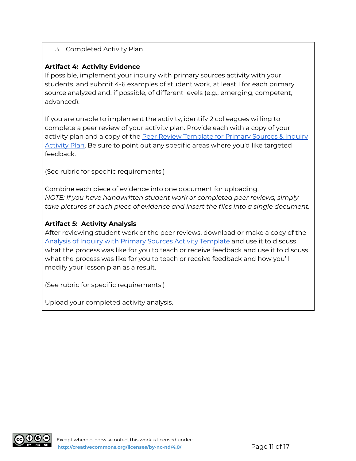#### 3. Completed Activity Plan

#### **Artifact 4: Activity Evidence**

If possible, implement your inquiry with primary sources activity with your students, and submit 4-6 examples of student work, at least 1 for each primary source analyzed and, if possible, of different levels (e.g., emerging, competent, advanced).

If you are unable to implement the activity, identify 2 colleagues willing to complete a peer review of your activity plan. Provide each with a copy of your activity plan and a copy of the Peer Review [Template](https://docs.google.com/document/d/1x79wBdU0-a7UEUkoY4UZdvDvLLimsJf4ZtwpZT4Oahw/view) for Primary Sources & Inquiry [Activity](https://docs.google.com/document/d/1x79wBdU0-a7UEUkoY4UZdvDvLLimsJf4ZtwpZT4Oahw/view) Plan. Be sure to point out any specific areas where you'd like targeted feedback.

(See rubric for specific requirements.)

Combine each piece of evidence into one document for uploading. *NOTE: If you have handwritten student work or completed peer reviews, simply take pictures of each piece of evidence and insert the files into a single document.*

#### **Artifact 5: Activity Analysis**

After reviewing student work or the peer reviews, download or make a copy of the Analysis of Inquiry with Primary Sources Activity [Template](https://docs.google.com/document/d/178KIeWzMCtdBWXj1V8yNU94JEC3tXf__bZT8jLVxg1E/view) and use it to discuss what the process was like for you to teach or receive feedback and use it to discuss what the process was like for you to teach or receive feedback and how you'll modify your lesson plan as a result.

(See rubric for specific requirements.)

Upload your completed activity analysis.

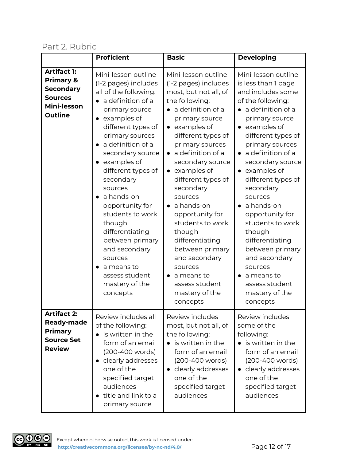### Part 2. Rubric

|                                                                                                                   | <b>Proficient</b>                                                                                                                                                                                                                                                                                                                                                                                                                                                                      | <b>Basic</b>                                                                                                                                                                                                                                                                                                                                                                                                                                                                                                               | <b>Developing</b>                                                                                                                                                                                                                                                                                                                                                                                                                                                                                            |
|-------------------------------------------------------------------------------------------------------------------|----------------------------------------------------------------------------------------------------------------------------------------------------------------------------------------------------------------------------------------------------------------------------------------------------------------------------------------------------------------------------------------------------------------------------------------------------------------------------------------|----------------------------------------------------------------------------------------------------------------------------------------------------------------------------------------------------------------------------------------------------------------------------------------------------------------------------------------------------------------------------------------------------------------------------------------------------------------------------------------------------------------------------|--------------------------------------------------------------------------------------------------------------------------------------------------------------------------------------------------------------------------------------------------------------------------------------------------------------------------------------------------------------------------------------------------------------------------------------------------------------------------------------------------------------|
| <b>Artifact 1:</b><br><b>Primary &amp;</b><br><b>Secondary</b><br><b>Sources</b><br>Mini-lesson<br><b>Outline</b> | Mini-lesson outline<br>(1-2 pages) includes<br>all of the following:<br>a definition of a<br>primary source<br>examples of<br>different types of<br>primary sources<br>• a definition of a<br>secondary source<br>• examples of<br>different types of<br>secondary<br>sources<br>$\bullet$ a hands-on<br>opportunity for<br>students to work<br>though<br>differentiating<br>between primary<br>and secondary<br>sources<br>a means to<br>assess student<br>mastery of the<br>concepts | Mini-lesson outline<br>(1-2 pages) includes<br>most, but not all, of<br>the following:<br>• a definition of a<br>primary source<br>$\bullet$ examples of<br>different types of<br>primary sources<br>a definition of a<br>secondary source<br>$\bullet$ examples of<br>different types of<br>secondary<br>sources<br>$\bullet$ a hands-on<br>opportunity for<br>students to work<br>though<br>differentiating<br>between primary<br>and secondary<br>sources<br>a means to<br>assess student<br>mastery of the<br>concepts | Mini-lesson outline<br>is less than 1 page<br>and includes some<br>of the following:<br>a definition of a<br>primary source<br>$\bullet$ examples of<br>different types of<br>primary sources<br>a definition of a<br>secondary source<br>$\bullet$ examples of<br>different types of<br>secondary<br>sources<br>a hands-on<br>opportunity for<br>students to work<br>though<br>differentiating<br>between primary<br>and secondary<br>sources<br>a means to<br>assess student<br>mastery of the<br>concepts |
| Artifact 2:<br><b>Ready-made</b><br><b>Primary</b><br><b>Source Set</b><br><b>Review</b>                          | Review includes all<br>of the following:<br>is written in the<br>form of an email<br>(200-400 words)<br>• clearly addresses<br>one of the<br>specified target<br>audiences<br>title and link to a<br>$\bullet$<br>primary source                                                                                                                                                                                                                                                       | Review includes<br>most, but not all, of<br>the following:<br>$\bullet$ is written in the<br>form of an email<br>(200-400 words)<br>clearly addresses<br>one of the<br>specified target<br>audiences                                                                                                                                                                                                                                                                                                                       | Review includes<br>some of the<br>following:<br>$\bullet$ is written in the<br>form of an email<br>(200-400 words)<br>clearly addresses<br>$\bullet$<br>one of the<br>specified target<br>audiences                                                                                                                                                                                                                                                                                                          |

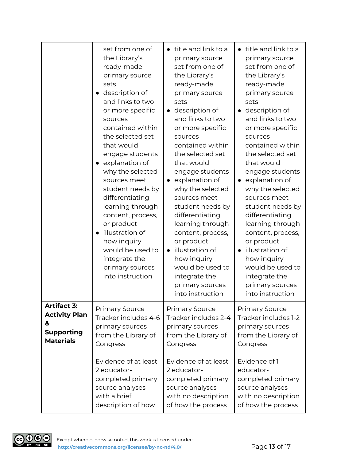|                      | set from one of<br>the Library's<br>ready-made<br>primary source<br>sets<br>• description of<br>and links to two<br>or more specific<br>sources<br>contained within<br>the selected set<br>that would<br>engage students<br>• explanation of<br>why the selected<br>sources meet<br>student needs by<br>differentiating<br>learning through<br>content, process,<br>or product<br>· illustration of<br>how inquiry<br>would be used to<br>integrate the<br>primary sources<br>into instruction | • title and link to a<br>primary source<br>set from one of<br>the Library's<br>ready-made<br>primary source<br>sets<br>description of<br>$\bullet$<br>and links to two<br>or more specific<br>sources<br>contained within<br>the selected set<br>that would<br>engage students<br>explanation of<br>$\bullet$<br>why the selected<br>sources meet<br>student needs by<br>differentiating<br>learning through<br>content, process,<br>or product<br>illustration of<br>$\bullet$<br>how inquiry<br>would be used to<br>integrate the<br>primary sources<br>into instruction | • title and link to a<br>primary source<br>set from one of<br>the Library's<br>ready-made<br>primary source<br>sets<br>description of<br>and links to two<br>or more specific<br>sources<br>contained within<br>the selected set<br>that would<br>engage students<br>explanation of<br>$\bullet$<br>why the selected<br>sources meet<br>student needs by<br>differentiating<br>learning through<br>content, process,<br>or product<br>• illustration of<br>how inquiry<br>would be used to<br>integrate the<br>primary sources<br>into instruction |
|----------------------|------------------------------------------------------------------------------------------------------------------------------------------------------------------------------------------------------------------------------------------------------------------------------------------------------------------------------------------------------------------------------------------------------------------------------------------------------------------------------------------------|----------------------------------------------------------------------------------------------------------------------------------------------------------------------------------------------------------------------------------------------------------------------------------------------------------------------------------------------------------------------------------------------------------------------------------------------------------------------------------------------------------------------------------------------------------------------------|----------------------------------------------------------------------------------------------------------------------------------------------------------------------------------------------------------------------------------------------------------------------------------------------------------------------------------------------------------------------------------------------------------------------------------------------------------------------------------------------------------------------------------------------------|
| <b>Artifact 3:</b>   | <b>Primary Source</b>                                                                                                                                                                                                                                                                                                                                                                                                                                                                          | <b>Primary Source</b>                                                                                                                                                                                                                                                                                                                                                                                                                                                                                                                                                      | <b>Primary Source</b>                                                                                                                                                                                                                                                                                                                                                                                                                                                                                                                              |
| <b>Activity Plan</b> | Tracker includes 4-6                                                                                                                                                                                                                                                                                                                                                                                                                                                                           | Tracker includes 2-4                                                                                                                                                                                                                                                                                                                                                                                                                                                                                                                                                       | Tracker includes 1-2                                                                                                                                                                                                                                                                                                                                                                                                                                                                                                                               |
| &                    | primary sources                                                                                                                                                                                                                                                                                                                                                                                                                                                                                | primary sources                                                                                                                                                                                                                                                                                                                                                                                                                                                                                                                                                            | primary sources                                                                                                                                                                                                                                                                                                                                                                                                                                                                                                                                    |
| <b>Supporting</b>    | from the Library of                                                                                                                                                                                                                                                                                                                                                                                                                                                                            | from the Library of                                                                                                                                                                                                                                                                                                                                                                                                                                                                                                                                                        | from the Library of                                                                                                                                                                                                                                                                                                                                                                                                                                                                                                                                |
| <b>Materials</b>     | Congress                                                                                                                                                                                                                                                                                                                                                                                                                                                                                       | Congress                                                                                                                                                                                                                                                                                                                                                                                                                                                                                                                                                                   | Congress                                                                                                                                                                                                                                                                                                                                                                                                                                                                                                                                           |
|                      | Evidence of at least                                                                                                                                                                                                                                                                                                                                                                                                                                                                           | Evidence of at least                                                                                                                                                                                                                                                                                                                                                                                                                                                                                                                                                       | Evidence of 1                                                                                                                                                                                                                                                                                                                                                                                                                                                                                                                                      |
|                      | 2 educator-                                                                                                                                                                                                                                                                                                                                                                                                                                                                                    | 2 educator-                                                                                                                                                                                                                                                                                                                                                                                                                                                                                                                                                                | educator-                                                                                                                                                                                                                                                                                                                                                                                                                                                                                                                                          |
|                      | completed primary                                                                                                                                                                                                                                                                                                                                                                                                                                                                              | completed primary                                                                                                                                                                                                                                                                                                                                                                                                                                                                                                                                                          | completed primary                                                                                                                                                                                                                                                                                                                                                                                                                                                                                                                                  |
|                      | source analyses                                                                                                                                                                                                                                                                                                                                                                                                                                                                                | source analyses                                                                                                                                                                                                                                                                                                                                                                                                                                                                                                                                                            | source analyses                                                                                                                                                                                                                                                                                                                                                                                                                                                                                                                                    |
|                      | with a brief                                                                                                                                                                                                                                                                                                                                                                                                                                                                                   | with no description                                                                                                                                                                                                                                                                                                                                                                                                                                                                                                                                                        | with no description                                                                                                                                                                                                                                                                                                                                                                                                                                                                                                                                |
|                      | description of how                                                                                                                                                                                                                                                                                                                                                                                                                                                                             | of how the process                                                                                                                                                                                                                                                                                                                                                                                                                                                                                                                                                         | of how the process                                                                                                                                                                                                                                                                                                                                                                                                                                                                                                                                 |

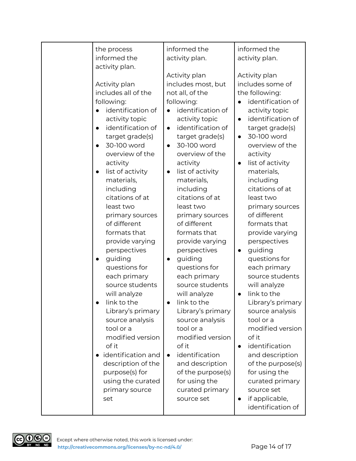| the process<br>informed the                                                                                                                                                                                                                                                                                                                                                                                                                                                                                                                                                                                                                                              | informed the<br>activity plan.                                                                                                                                                                                                                                                                                                                                                                                                                                                                                                                                                                                                                                                    | informed the<br>activity plan.                                                                                                                                                                                                                                                                                                                                                                                                                                                                                                                                                                                                                                                                 |
|--------------------------------------------------------------------------------------------------------------------------------------------------------------------------------------------------------------------------------------------------------------------------------------------------------------------------------------------------------------------------------------------------------------------------------------------------------------------------------------------------------------------------------------------------------------------------------------------------------------------------------------------------------------------------|-----------------------------------------------------------------------------------------------------------------------------------------------------------------------------------------------------------------------------------------------------------------------------------------------------------------------------------------------------------------------------------------------------------------------------------------------------------------------------------------------------------------------------------------------------------------------------------------------------------------------------------------------------------------------------------|------------------------------------------------------------------------------------------------------------------------------------------------------------------------------------------------------------------------------------------------------------------------------------------------------------------------------------------------------------------------------------------------------------------------------------------------------------------------------------------------------------------------------------------------------------------------------------------------------------------------------------------------------------------------------------------------|
| activity plan.<br>Activity plan<br>includes all of the<br>following:<br>identification of<br>activity topic<br>identification of<br>$\bullet$<br>target grade(s)<br>30-100 word<br>$\bullet$<br>overview of the<br>activity<br>list of activity<br>$\bullet$<br>materials,<br>including<br>citations of at<br>least two<br>primary sources<br>of different<br>formats that<br>provide varying<br>perspectives<br>guiding<br>$\bullet$<br>questions for<br>each primary<br>source students<br>will analyze<br>link to the<br>Library's primary<br>source analysis<br>tool or a<br>modified version<br>of it<br>identification and<br>description of the<br>purpose(s) for | Activity plan<br>includes most, but<br>not all, of the<br>following:<br>identification of<br>activity topic<br>identification of<br>$\bullet$<br>target grade(s)<br>30-100 word<br>$\bullet$<br>overview of the<br>activity<br>list of activity<br>$\bullet$<br>materials,<br>including<br>citations of at<br>least two<br>primary sources<br>of different<br>formats that<br>provide varying<br>perspectives<br>guiding<br>$\bullet$<br>questions for<br>each primary<br>source students<br>will analyze<br>link to the<br>Library's primary<br>source analysis<br>tool or a<br>modified version<br>of it<br>identification<br>$\bullet$<br>and description<br>of the purpose(s) | Activity plan<br>includes some of<br>the following:<br>identification of<br>activity topic<br>identification of<br>$\bullet$<br>target grade(s)<br>30-100 word<br>$\bullet$<br>overview of the<br>activity<br>list of activity<br>$\bullet$<br>materials,<br>including<br>citations of at<br>least two<br>primary sources<br>of different<br>formats that<br>provide varying<br>perspectives<br>guiding<br>$\bullet$<br>questions for<br>each primary<br>source students<br>will analyze<br>link to the<br>$\bullet$<br>Library's primary<br>source analysis<br>tool or a<br>modified version<br>of it<br>identification<br>$\bullet$<br>and description<br>of the purpose(s)<br>for using the |
| using the curated<br>primary source<br>set                                                                                                                                                                                                                                                                                                                                                                                                                                                                                                                                                                                                                               | for using the<br>curated primary<br>source set                                                                                                                                                                                                                                                                                                                                                                                                                                                                                                                                                                                                                                    | curated primary<br>source set<br>if applicable,<br>$\bullet$<br>identification of                                                                                                                                                                                                                                                                                                                                                                                                                                                                                                                                                                                                              |

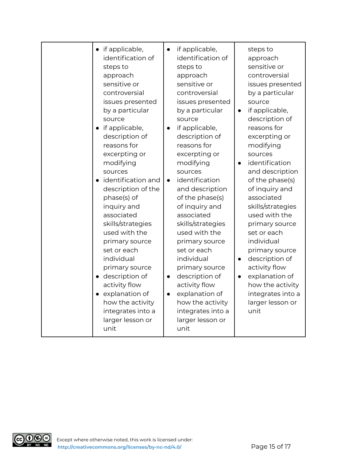| • if applicable,<br>identification of<br>steps to<br>approach<br>sensitive or<br>controversial<br>issues presented<br>by a particular<br>source<br>• if applicable,<br>description of<br>reasons for<br>excerpting or<br>modifying<br>sources<br>identification and<br>description of the<br>phase(s) of<br>inquiry and<br>associated<br>skills/strategies<br>used with the<br>primary source<br>set or each<br>individual<br>primary source<br>· description of<br>activity flow<br>• explanation of<br>how the activity<br>integrates into a<br>larger lesson or<br>unit | if applicable,<br>$\bullet$<br>identification of<br>steps to<br>approach<br>sensitive or<br>controversial<br>issues presented<br>by a particular<br>source<br>if applicable,<br>$\bullet$<br>description of<br>reasons for<br>excerpting or<br>modifying<br>sources<br>identification<br>$\bullet$<br>and description<br>of the phase(s)<br>of inquiry and<br>associated<br>skills/strategies<br>used with the<br>primary source<br>set or each<br>individual<br>primary source<br>description of<br>$\bullet$<br>activity flow<br>explanation of<br>$\bullet$<br>how the activity<br>integrates into a<br>larger lesson or<br>unit | steps to<br>approach<br>sensitive or<br>controversial<br>issues presented<br>by a particular<br>source<br>if applicable,<br>$\bullet$<br>description of<br>reasons for<br>excerpting or<br>modifying<br>sources<br>identification<br>$\bullet$<br>and description<br>of the phase(s)<br>of inquiry and<br>associated<br>skills/strategies<br>used with the<br>primary source<br>set or each<br>individual<br>primary source<br>description of<br>$\bullet$<br>activity flow<br>explanation of<br>$\bullet$<br>how the activity<br>integrates into a<br>larger lesson or<br>unit |
|----------------------------------------------------------------------------------------------------------------------------------------------------------------------------------------------------------------------------------------------------------------------------------------------------------------------------------------------------------------------------------------------------------------------------------------------------------------------------------------------------------------------------------------------------------------------------|-------------------------------------------------------------------------------------------------------------------------------------------------------------------------------------------------------------------------------------------------------------------------------------------------------------------------------------------------------------------------------------------------------------------------------------------------------------------------------------------------------------------------------------------------------------------------------------------------------------------------------------|---------------------------------------------------------------------------------------------------------------------------------------------------------------------------------------------------------------------------------------------------------------------------------------------------------------------------------------------------------------------------------------------------------------------------------------------------------------------------------------------------------------------------------------------------------------------------------|
|----------------------------------------------------------------------------------------------------------------------------------------------------------------------------------------------------------------------------------------------------------------------------------------------------------------------------------------------------------------------------------------------------------------------------------------------------------------------------------------------------------------------------------------------------------------------------|-------------------------------------------------------------------------------------------------------------------------------------------------------------------------------------------------------------------------------------------------------------------------------------------------------------------------------------------------------------------------------------------------------------------------------------------------------------------------------------------------------------------------------------------------------------------------------------------------------------------------------------|---------------------------------------------------------------------------------------------------------------------------------------------------------------------------------------------------------------------------------------------------------------------------------------------------------------------------------------------------------------------------------------------------------------------------------------------------------------------------------------------------------------------------------------------------------------------------------|

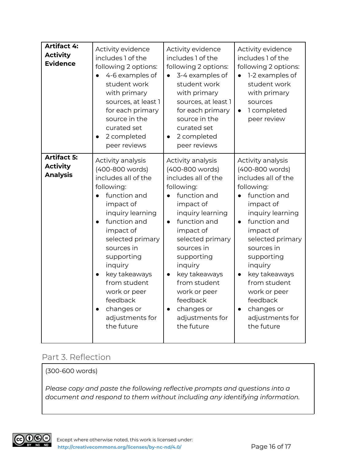| <b>Artifact 4:</b><br><b>Activity</b><br><b>Evidence</b> | Activity evidence<br>includes 1 of the<br>following 2 options:<br>4-6 examples of<br>student work<br>with primary<br>sources, at least 1<br>for each primary<br>source in the<br>curated set<br>2 completed<br>peer reviews                                                                                                    | Activity evidence<br>includes 1 of the<br>following 2 options:<br>3-4 examples of<br>student work<br>with primary<br>sources, at least 1<br>for each primary<br>source in the<br>curated set<br>2 completed<br>peer reviews                                                                                                    | Activity evidence<br>includes 1 of the<br>following 2 options:<br>1-2 examples of<br>$\bullet$<br>student work<br>with primary<br>sources<br>1 completed<br>$\bullet$<br>peer review                                                                                                                                                                     |
|----------------------------------------------------------|--------------------------------------------------------------------------------------------------------------------------------------------------------------------------------------------------------------------------------------------------------------------------------------------------------------------------------|--------------------------------------------------------------------------------------------------------------------------------------------------------------------------------------------------------------------------------------------------------------------------------------------------------------------------------|----------------------------------------------------------------------------------------------------------------------------------------------------------------------------------------------------------------------------------------------------------------------------------------------------------------------------------------------------------|
| <b>Artifact 5:</b><br><b>Activity</b><br><b>Analysis</b> | Activity analysis<br>(400-800 words)<br>includes all of the<br>following:<br>function and<br>impact of<br>inquiry learning<br>function and<br>impact of<br>selected primary<br>sources in<br>supporting<br>inquiry<br>key takeaways<br>from student<br>work or peer<br>feedback<br>changes or<br>adjustments for<br>the future | Activity analysis<br>(400-800 words)<br>includes all of the<br>following:<br>function and<br>impact of<br>inquiry learning<br>function and<br>impact of<br>selected primary<br>sources in<br>supporting<br>inquiry<br>key takeaways<br>from student<br>work or peer<br>feedback<br>changes or<br>adjustments for<br>the future | Activity analysis<br>(400-800 words)<br>includes all of the<br>following:<br>function and<br>impact of<br>inquiry learning<br>function and<br>$\bullet$<br>impact of<br>selected primary<br>sources in<br>supporting<br>inquiry<br>key takeaways<br>from student<br>work or peer<br>feedback<br>changes or<br>$\bullet$<br>adjustments for<br>the future |

### Part 3. Reflection

(300-600 words)

*Please copy and paste the following reflective prompts and questions into a document and respond to them without including any identifying information.*